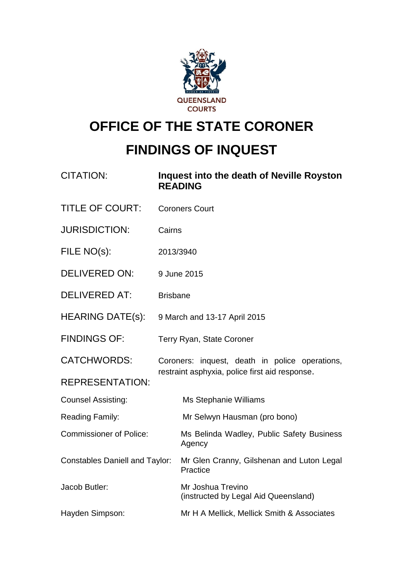

# **OFFICE OF THE STATE CORONER FINDINGS OF INQUEST**

| <b>CITATION:</b>                      | Inquest into the death of Neville Royston<br><b>READING</b> |  |
|---------------------------------------|-------------------------------------------------------------|--|
| <b>TITLE OF COURT:</b>                | <b>Coroners Court</b>                                       |  |
| <b>JURISDICTION:</b>                  | Cairns                                                      |  |
| FILE NO(s):                           | 2013/3940                                                   |  |
| <b>DELIVERED ON:</b>                  | 9 June 2015                                                 |  |
| <b>DELIVERED AT:</b>                  | <b>Brisbane</b>                                             |  |
| <b>HEARING DATE(s):</b>               | 9 March and 13-17 April 2015                                |  |
| <b>FINDINGS OF:</b>                   | Terry Ryan, State Coroner                                   |  |
| <b>CATCHWORDS:</b>                    | Coroners: inquest, death in police operations,              |  |
| <b>REPRESENTATION:</b>                | restraint asphyxia, police first aid response.              |  |
| <b>Counsel Assisting:</b>             | Ms Stephanie Williams                                       |  |
| Reading Family:                       | Mr Selwyn Hausman (pro bono)                                |  |
| <b>Commissioner of Police:</b>        | Ms Belinda Wadley, Public Safety Business<br>Agency         |  |
| <b>Constables Daniell and Taylor:</b> | Mr Glen Cranny, Gilshenan and Luton Legal<br>Practice       |  |
| Jacob Butler:                         | Mr Joshua Trevino<br>(instructed by Legal Aid Queensland)   |  |
| Hayden Simpson:                       | Mr H A Mellick, Mellick Smith & Associates                  |  |
|                                       |                                                             |  |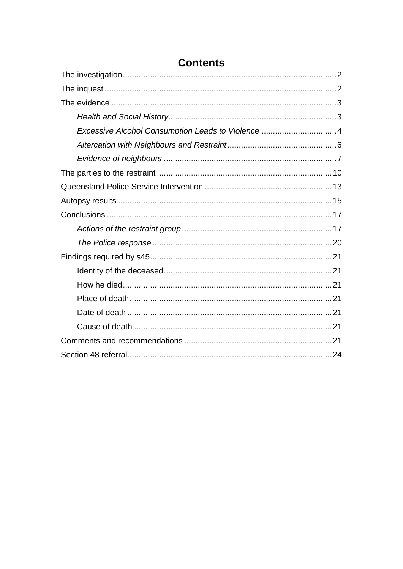| Excessive Alcohol Consumption Leads to Violence 4 |  |
|---------------------------------------------------|--|
|                                                   |  |
|                                                   |  |
|                                                   |  |
|                                                   |  |
|                                                   |  |
|                                                   |  |
|                                                   |  |
|                                                   |  |
|                                                   |  |
|                                                   |  |
|                                                   |  |
|                                                   |  |
|                                                   |  |
|                                                   |  |
|                                                   |  |
|                                                   |  |

## **Contents**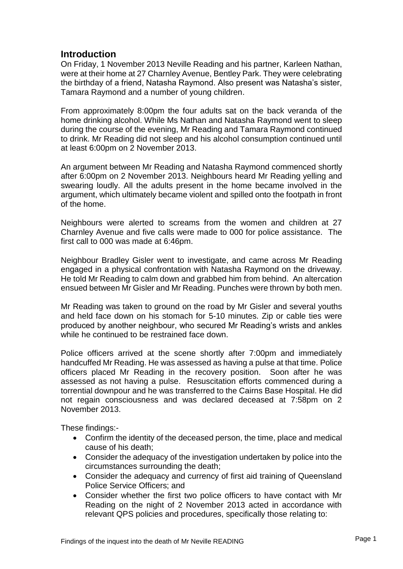## **Introduction**

On Friday, 1 November 2013 Neville Reading and his partner, Karleen Nathan, were at their home at 27 Charnley Avenue, Bentley Park. They were celebrating the birthday of a friend, Natasha Raymond. Also present was Natasha's sister, Tamara Raymond and a number of young children.

From approximately 8:00pm the four adults sat on the back veranda of the home drinking alcohol. While Ms Nathan and Natasha Raymond went to sleep during the course of the evening, Mr Reading and Tamara Raymond continued to drink. Mr Reading did not sleep and his alcohol consumption continued until at least 6:00pm on 2 November 2013.

An argument between Mr Reading and Natasha Raymond commenced shortly after 6:00pm on 2 November 2013. Neighbours heard Mr Reading yelling and swearing loudly. All the adults present in the home became involved in the argument, which ultimately became violent and spilled onto the footpath in front of the home.

Neighbours were alerted to screams from the women and children at 27 Charnley Avenue and five calls were made to 000 for police assistance. The first call to 000 was made at 6:46pm.

Neighbour Bradley Gisler went to investigate, and came across Mr Reading engaged in a physical confrontation with Natasha Raymond on the driveway. He told Mr Reading to calm down and grabbed him from behind. An altercation ensued between Mr Gisler and Mr Reading. Punches were thrown by both men.

Mr Reading was taken to ground on the road by Mr Gisler and several youths and held face down on his stomach for 5-10 minutes. Zip or cable ties were produced by another neighbour, who secured Mr Reading's wrists and ankles while he continued to be restrained face down.

Police officers arrived at the scene shortly after 7:00pm and immediately handcuffed Mr Reading. He was assessed as having a pulse at that time. Police officers placed Mr Reading in the recovery position. Soon after he was assessed as not having a pulse. Resuscitation efforts commenced during a torrential downpour and he was transferred to the Cairns Base Hospital. He did not regain consciousness and was declared deceased at 7:58pm on 2 November 2013.

These findings:-

- Confirm the identity of the deceased person, the time, place and medical cause of his death;
- Consider the adequacy of the investigation undertaken by police into the circumstances surrounding the death;
- Consider the adequacy and currency of first aid training of Queensland Police Service Officers; and
- Consider whether the first two police officers to have contact with Mr Reading on the night of 2 November 2013 acted in accordance with relevant QPS policies and procedures, specifically those relating to: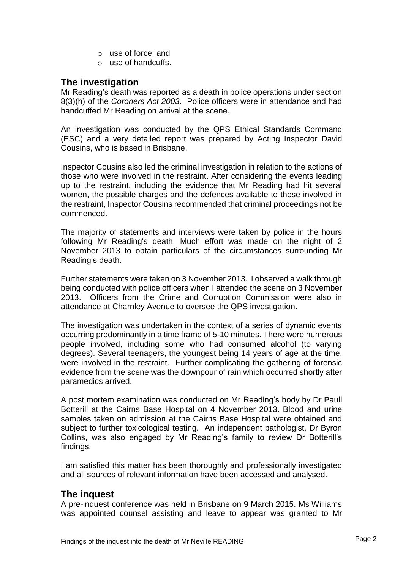- o use of force; and
- o use of handcuffs.

## <span id="page-3-0"></span>**The investigation**

Mr Reading's death was reported as a death in police operations under section 8(3)(h) of the *Coroners Act 2003*. Police officers were in attendance and had handcuffed Mr Reading on arrival at the scene.

An investigation was conducted by the QPS Ethical Standards Command (ESC) and a very detailed report was prepared by Acting Inspector David Cousins, who is based in Brisbane.

Inspector Cousins also led the criminal investigation in relation to the actions of those who were involved in the restraint. After considering the events leading up to the restraint, including the evidence that Mr Reading had hit several women, the possible charges and the defences available to those involved in the restraint, Inspector Cousins recommended that criminal proceedings not be commenced.

The majority of statements and interviews were taken by police in the hours following Mr Reading's death. Much effort was made on the night of 2 November 2013 to obtain particulars of the circumstances surrounding Mr Reading's death.

Further statements were taken on 3 November 2013. I observed a walk through being conducted with police officers when I attended the scene on 3 November 2013. Officers from the Crime and Corruption Commission were also in attendance at Charnley Avenue to oversee the QPS investigation.

The investigation was undertaken in the context of a series of dynamic events occurring predominantly in a time frame of 5-10 minutes. There were numerous people involved, including some who had consumed alcohol (to varying degrees). Several teenagers, the youngest being 14 years of age at the time, were involved in the restraint. Further complicating the gathering of forensic evidence from the scene was the downpour of rain which occurred shortly after paramedics arrived.

A post mortem examination was conducted on Mr Reading's body by Dr Paull Botterill at the Cairns Base Hospital on 4 November 2013. Blood and urine samples taken on admission at the Cairns Base Hospital were obtained and subject to further toxicological testing. An independent pathologist, Dr Byron Collins, was also engaged by Mr Reading's family to review Dr Botterill's findings.

I am satisfied this matter has been thoroughly and professionally investigated and all sources of relevant information have been accessed and analysed.

## <span id="page-3-1"></span>**The inquest**

A pre-inquest conference was held in Brisbane on 9 March 2015. Ms Williams was appointed counsel assisting and leave to appear was granted to Mr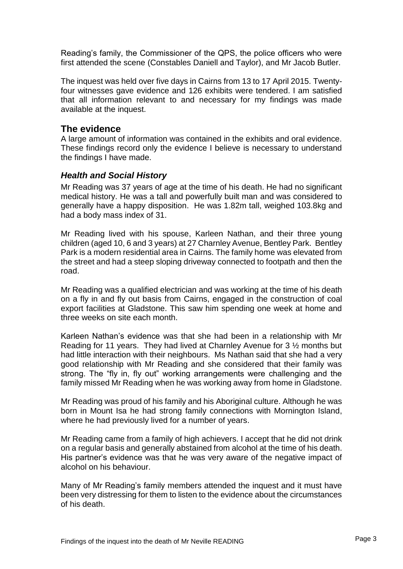Reading's family, the Commissioner of the QPS, the police officers who were first attended the scene (Constables Daniell and Taylor), and Mr Jacob Butler.

The inquest was held over five days in Cairns from 13 to 17 April 2015. Twentyfour witnesses gave evidence and 126 exhibits were tendered. I am satisfied that all information relevant to and necessary for my findings was made available at the inquest.

## <span id="page-4-0"></span>**The evidence**

A large amount of information was contained in the exhibits and oral evidence. These findings record only the evidence I believe is necessary to understand the findings I have made.

## <span id="page-4-1"></span>*Health and Social History*

Mr Reading was 37 years of age at the time of his death. He had no significant medical history. He was a tall and powerfully built man and was considered to generally have a happy disposition. He was 1.82m tall, weighed 103.8kg and had a body mass index of 31.

Mr Reading lived with his spouse, Karleen Nathan, and their three young children (aged 10, 6 and 3 years) at 27 Charnley Avenue, Bentley Park. Bentley Park is a modern residential area in Cairns. The family home was elevated from the street and had a steep sloping driveway connected to footpath and then the road.

Mr Reading was a qualified electrician and was working at the time of his death on a fly in and fly out basis from Cairns, engaged in the construction of coal export facilities at Gladstone. This saw him spending one week at home and three weeks on site each month.

Karleen Nathan's evidence was that she had been in a relationship with Mr Reading for 11 years. They had lived at Charnley Avenue for 3 ½ months but had little interaction with their neighbours. Ms Nathan said that she had a very good relationship with Mr Reading and she considered that their family was strong. The "fly in, fly out" working arrangements were challenging and the family missed Mr Reading when he was working away from home in Gladstone.

Mr Reading was proud of his family and his Aboriginal culture. Although he was born in Mount Isa he had strong family connections with Mornington Island, where he had previously lived for a number of years.

Mr Reading came from a family of high achievers. I accept that he did not drink on a regular basis and generally abstained from alcohol at the time of his death. His partner's evidence was that he was very aware of the negative impact of alcohol on his behaviour.

Many of Mr Reading's family members attended the inquest and it must have been very distressing for them to listen to the evidence about the circumstances of his death.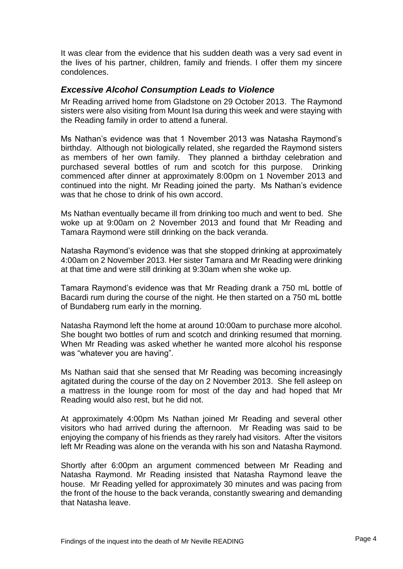It was clear from the evidence that his sudden death was a very sad event in the lives of his partner, children, family and friends. I offer them my sincere condolences.

## <span id="page-5-0"></span>*Excessive Alcohol Consumption Leads to Violence*

Mr Reading arrived home from Gladstone on 29 October 2013. The Raymond sisters were also visiting from Mount Isa during this week and were staying with the Reading family in order to attend a funeral.

Ms Nathan's evidence was that 1 November 2013 was Natasha Raymond's birthday. Although not biologically related, she regarded the Raymond sisters as members of her own family. They planned a birthday celebration and purchased several bottles of rum and scotch for this purpose. Drinking commenced after dinner at approximately 8:00pm on 1 November 2013 and continued into the night. Mr Reading joined the party. Ms Nathan's evidence was that he chose to drink of his own accord.

Ms Nathan eventually became ill from drinking too much and went to bed. She woke up at 9:00am on 2 November 2013 and found that Mr Reading and Tamara Raymond were still drinking on the back veranda.

Natasha Raymond's evidence was that she stopped drinking at approximately 4:00am on 2 November 2013. Her sister Tamara and Mr Reading were drinking at that time and were still drinking at 9:30am when she woke up.

Tamara Raymond's evidence was that Mr Reading drank a 750 mL bottle of Bacardi rum during the course of the night. He then started on a 750 mL bottle of Bundaberg rum early in the morning.

Natasha Raymond left the home at around 10:00am to purchase more alcohol. She bought two bottles of rum and scotch and drinking resumed that morning. When Mr Reading was asked whether he wanted more alcohol his response was "whatever you are having".

Ms Nathan said that she sensed that Mr Reading was becoming increasingly agitated during the course of the day on 2 November 2013. She fell asleep on a mattress in the lounge room for most of the day and had hoped that Mr Reading would also rest, but he did not.

At approximately 4:00pm Ms Nathan joined Mr Reading and several other visitors who had arrived during the afternoon. Mr Reading was said to be enjoying the company of his friends as they rarely had visitors. After the visitors left Mr Reading was alone on the veranda with his son and Natasha Raymond.

Shortly after 6:00pm an argument commenced between Mr Reading and Natasha Raymond. Mr Reading insisted that Natasha Raymond leave the house. Mr Reading yelled for approximately 30 minutes and was pacing from the front of the house to the back veranda, constantly swearing and demanding that Natasha leave.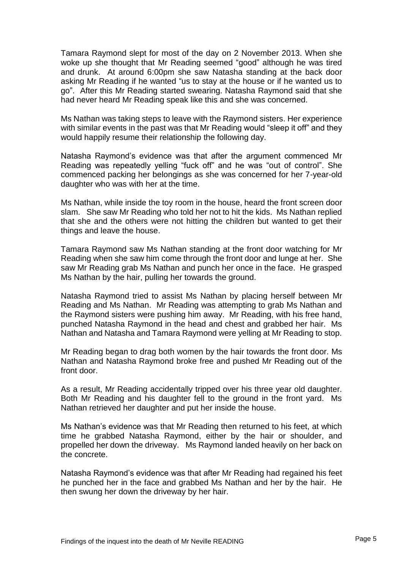Tamara Raymond slept for most of the day on 2 November 2013. When she woke up she thought that Mr Reading seemed "good" although he was tired and drunk. At around 6:00pm she saw Natasha standing at the back door asking Mr Reading if he wanted "us to stay at the house or if he wanted us to go". After this Mr Reading started swearing. Natasha Raymond said that she had never heard Mr Reading speak like this and she was concerned.

Ms Nathan was taking steps to leave with the Raymond sisters. Her experience with similar events in the past was that Mr Reading would "sleep it off" and they would happily resume their relationship the following day.

Natasha Raymond's evidence was that after the argument commenced Mr Reading was repeatedly yelling "fuck off" and he was "out of control". She commenced packing her belongings as she was concerned for her 7-year-old daughter who was with her at the time.

Ms Nathan, while inside the toy room in the house, heard the front screen door slam. She saw Mr Reading who told her not to hit the kids. Ms Nathan replied that she and the others were not hitting the children but wanted to get their things and leave the house.

Tamara Raymond saw Ms Nathan standing at the front door watching for Mr Reading when she saw him come through the front door and lunge at her. She saw Mr Reading grab Ms Nathan and punch her once in the face. He grasped Ms Nathan by the hair, pulling her towards the ground.

Natasha Raymond tried to assist Ms Nathan by placing herself between Mr Reading and Ms Nathan. Mr Reading was attempting to grab Ms Nathan and the Raymond sisters were pushing him away. Mr Reading, with his free hand, punched Natasha Raymond in the head and chest and grabbed her hair. Ms Nathan and Natasha and Tamara Raymond were yelling at Mr Reading to stop.

Mr Reading began to drag both women by the hair towards the front door. Ms Nathan and Natasha Raymond broke free and pushed Mr Reading out of the front door.

As a result, Mr Reading accidentally tripped over his three year old daughter. Both Mr Reading and his daughter fell to the ground in the front yard. Ms Nathan retrieved her daughter and put her inside the house.

Ms Nathan's evidence was that Mr Reading then returned to his feet, at which time he grabbed Natasha Raymond, either by the hair or shoulder, and propelled her down the driveway. Ms Raymond landed heavily on her back on the concrete.

Natasha Raymond's evidence was that after Mr Reading had regained his feet he punched her in the face and grabbed Ms Nathan and her by the hair. He then swung her down the driveway by her hair.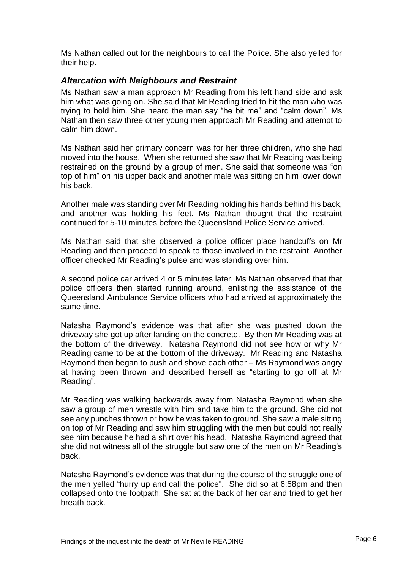Ms Nathan called out for the neighbours to call the Police. She also yelled for their help.

## <span id="page-7-0"></span>*Altercation with Neighbours and Restraint*

Ms Nathan saw a man approach Mr Reading from his left hand side and ask him what was going on. She said that Mr Reading tried to hit the man who was trying to hold him. She heard the man say "he bit me" and "calm down". Ms Nathan then saw three other young men approach Mr Reading and attempt to calm him down.

Ms Nathan said her primary concern was for her three children, who she had moved into the house. When she returned she saw that Mr Reading was being restrained on the ground by a group of men. She said that someone was "on top of him" on his upper back and another male was sitting on him lower down his back.

Another male was standing over Mr Reading holding his hands behind his back, and another was holding his feet. Ms Nathan thought that the restraint continued for 5-10 minutes before the Queensland Police Service arrived.

Ms Nathan said that she observed a police officer place handcuffs on Mr Reading and then proceed to speak to those involved in the restraint. Another officer checked Mr Reading's pulse and was standing over him.

A second police car arrived 4 or 5 minutes later. Ms Nathan observed that that police officers then started running around, enlisting the assistance of the Queensland Ambulance Service officers who had arrived at approximately the same time.

Natasha Raymond's evidence was that after she was pushed down the driveway she got up after landing on the concrete. By then Mr Reading was at the bottom of the driveway. Natasha Raymond did not see how or why Mr Reading came to be at the bottom of the driveway. Mr Reading and Natasha Raymond then began to push and shove each other – Ms Raymond was angry at having been thrown and described herself as "starting to go off at Mr Reading".

Mr Reading was walking backwards away from Natasha Raymond when she saw a group of men wrestle with him and take him to the ground. She did not see any punches thrown or how he was taken to ground. She saw a male sitting on top of Mr Reading and saw him struggling with the men but could not really see him because he had a shirt over his head. Natasha Raymond agreed that she did not witness all of the struggle but saw one of the men on Mr Reading's back.

Natasha Raymond's evidence was that during the course of the struggle one of the men yelled "hurry up and call the police". She did so at 6:58pm and then collapsed onto the footpath. She sat at the back of her car and tried to get her breath back.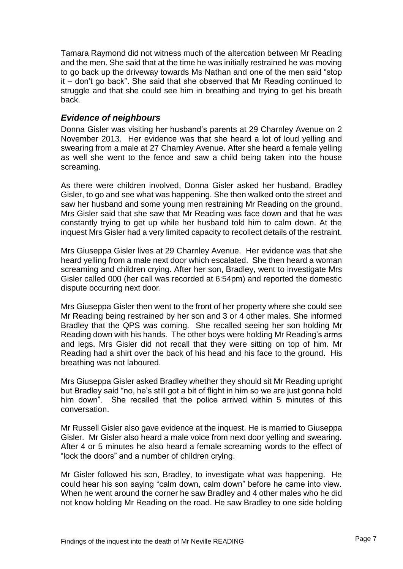Tamara Raymond did not witness much of the altercation between Mr Reading and the men. She said that at the time he was initially restrained he was moving to go back up the driveway towards Ms Nathan and one of the men said "stop it – don't go back". She said that she observed that Mr Reading continued to struggle and that she could see him in breathing and trying to get his breath back.

#### <span id="page-8-0"></span>*Evidence of neighbours*

Donna Gisler was visiting her husband's parents at 29 Charnley Avenue on 2 November 2013. Her evidence was that she heard a lot of loud yelling and swearing from a male at 27 Charnley Avenue. After she heard a female yelling as well she went to the fence and saw a child being taken into the house screaming.

As there were children involved, Donna Gisler asked her husband, Bradley Gisler, to go and see what was happening. She then walked onto the street and saw her husband and some young men restraining Mr Reading on the ground. Mrs Gisler said that she saw that Mr Reading was face down and that he was constantly trying to get up while her husband told him to calm down. At the inquest Mrs Gisler had a very limited capacity to recollect details of the restraint.

Mrs Giuseppa Gisler lives at 29 Charnley Avenue. Her evidence was that she heard yelling from a male next door which escalated. She then heard a woman screaming and children crying. After her son, Bradley, went to investigate Mrs Gisler called 000 (her call was recorded at 6:54pm) and reported the domestic dispute occurring next door.

Mrs Giuseppa Gisler then went to the front of her property where she could see Mr Reading being restrained by her son and 3 or 4 other males. She informed Bradley that the QPS was coming. She recalled seeing her son holding Mr Reading down with his hands. The other boys were holding Mr Reading's arms and legs. Mrs Gisler did not recall that they were sitting on top of him. Mr Reading had a shirt over the back of his head and his face to the ground. His breathing was not laboured.

Mrs Giuseppa Gisler asked Bradley whether they should sit Mr Reading upright but Bradley said "no, he's still got a bit of flight in him so we are just gonna hold him down". She recalled that the police arrived within 5 minutes of this conversation.

Mr Russell Gisler also gave evidence at the inquest. He is married to Giuseppa Gisler. Mr Gisler also heard a male voice from next door yelling and swearing. After 4 or 5 minutes he also heard a female screaming words to the effect of "lock the doors" and a number of children crying.

Mr Gisler followed his son, Bradley, to investigate what was happening. He could hear his son saying "calm down, calm down" before he came into view. When he went around the corner he saw Bradley and 4 other males who he did not know holding Mr Reading on the road. He saw Bradley to one side holding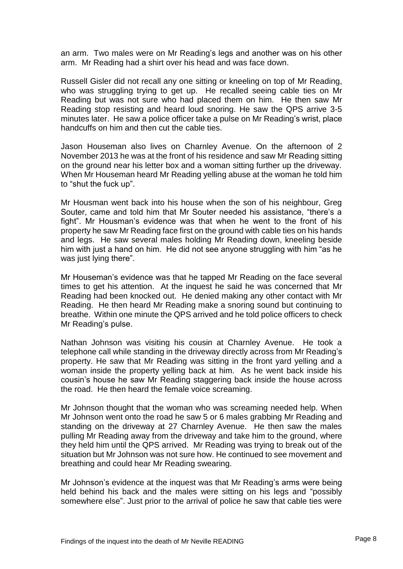an arm. Two males were on Mr Reading's legs and another was on his other arm. Mr Reading had a shirt over his head and was face down.

Russell Gisler did not recall any one sitting or kneeling on top of Mr Reading, who was struggling trying to get up. He recalled seeing cable ties on Mr Reading but was not sure who had placed them on him. He then saw Mr Reading stop resisting and heard loud snoring. He saw the QPS arrive 3-5 minutes later. He saw a police officer take a pulse on Mr Reading's wrist, place handcuffs on him and then cut the cable ties.

Jason Houseman also lives on Charnley Avenue. On the afternoon of 2 November 2013 he was at the front of his residence and saw Mr Reading sitting on the ground near his letter box and a woman sitting further up the driveway. When Mr Houseman heard Mr Reading yelling abuse at the woman he told him to "shut the fuck up".

Mr Housman went back into his house when the son of his neighbour, Greg Souter, came and told him that Mr Souter needed his assistance, "there's a fight". Mr Housman's evidence was that when he went to the front of his property he saw Mr Reading face first on the ground with cable ties on his hands and legs. He saw several males holding Mr Reading down, kneeling beside him with just a hand on him. He did not see anyone struggling with him "as he was just lying there".

Mr Houseman's evidence was that he tapped Mr Reading on the face several times to get his attention. At the inquest he said he was concerned that Mr Reading had been knocked out. He denied making any other contact with Mr Reading. He then heard Mr Reading make a snoring sound but continuing to breathe. Within one minute the QPS arrived and he told police officers to check Mr Reading's pulse.

Nathan Johnson was visiting his cousin at Charnley Avenue. He took a telephone call while standing in the driveway directly across from Mr Reading's property. He saw that Mr Reading was sitting in the front yard yelling and a woman inside the property yelling back at him. As he went back inside his cousin's house he saw Mr Reading staggering back inside the house across the road. He then heard the female voice screaming.

Mr Johnson thought that the woman who was screaming needed help. When Mr Johnson went onto the road he saw 5 or 6 males grabbing Mr Reading and standing on the driveway at 27 Charnley Avenue. He then saw the males pulling Mr Reading away from the driveway and take him to the ground, where they held him until the QPS arrived. Mr Reading was trying to break out of the situation but Mr Johnson was not sure how. He continued to see movement and breathing and could hear Mr Reading swearing.

Mr Johnson's evidence at the inquest was that Mr Reading's arms were being held behind his back and the males were sitting on his legs and "possibly somewhere else". Just prior to the arrival of police he saw that cable ties were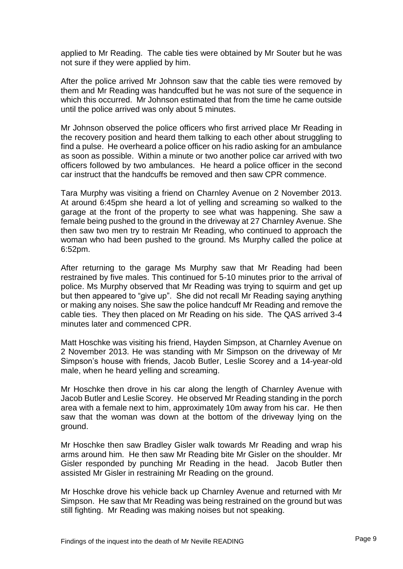applied to Mr Reading. The cable ties were obtained by Mr Souter but he was not sure if they were applied by him.

After the police arrived Mr Johnson saw that the cable ties were removed by them and Mr Reading was handcuffed but he was not sure of the sequence in which this occurred. Mr Johnson estimated that from the time he came outside until the police arrived was only about 5 minutes.

Mr Johnson observed the police officers who first arrived place Mr Reading in the recovery position and heard them talking to each other about struggling to find a pulse. He overheard a police officer on his radio asking for an ambulance as soon as possible. Within a minute or two another police car arrived with two officers followed by two ambulances. He heard a police officer in the second car instruct that the handcuffs be removed and then saw CPR commence.

Tara Murphy was visiting a friend on Charnley Avenue on 2 November 2013. At around 6:45pm she heard a lot of yelling and screaming so walked to the garage at the front of the property to see what was happening. She saw a female being pushed to the ground in the driveway at 27 Charnley Avenue. She then saw two men try to restrain Mr Reading, who continued to approach the woman who had been pushed to the ground. Ms Murphy called the police at 6:52pm.

After returning to the garage Ms Murphy saw that Mr Reading had been restrained by five males. This continued for 5-10 minutes prior to the arrival of police. Ms Murphy observed that Mr Reading was trying to squirm and get up but then appeared to "give up". She did not recall Mr Reading saying anything or making any noises. She saw the police handcuff Mr Reading and remove the cable ties. They then placed on Mr Reading on his side. The QAS arrived 3-4 minutes later and commenced CPR.

Matt Hoschke was visiting his friend, Hayden Simpson, at Charnley Avenue on 2 November 2013. He was standing with Mr Simpson on the driveway of Mr Simpson's house with friends, Jacob Butler, Leslie Scorey and a 14-year-old male, when he heard yelling and screaming.

Mr Hoschke then drove in his car along the length of Charnley Avenue with Jacob Butler and Leslie Scorey. He observed Mr Reading standing in the porch area with a female next to him, approximately 10m away from his car. He then saw that the woman was down at the bottom of the driveway lying on the ground.

Mr Hoschke then saw Bradley Gisler walk towards Mr Reading and wrap his arms around him. He then saw Mr Reading bite Mr Gisler on the shoulder. Mr Gisler responded by punching Mr Reading in the head. Jacob Butler then assisted Mr Gisler in restraining Mr Reading on the ground.

Mr Hoschke drove his vehicle back up Charnley Avenue and returned with Mr Simpson. He saw that Mr Reading was being restrained on the ground but was still fighting. Mr Reading was making noises but not speaking.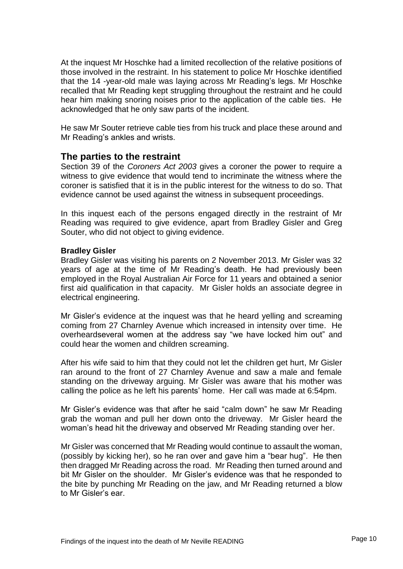At the inquest Mr Hoschke had a limited recollection of the relative positions of those involved in the restraint. In his statement to police Mr Hoschke identified that the 14 -year-old male was laying across Mr Reading's legs. Mr Hoschke recalled that Mr Reading kept struggling throughout the restraint and he could hear him making snoring noises prior to the application of the cable ties. He acknowledged that he only saw parts of the incident.

He saw Mr Souter retrieve cable ties from his truck and place these around and Mr Reading's ankles and wrists.

## <span id="page-11-0"></span>**The parties to the restraint**

Section 39 of the *Coroners Act 2003* gives a coroner the power to require a witness to give evidence that would tend to incriminate the witness where the coroner is satisfied that it is in the public interest for the witness to do so. That evidence cannot be used against the witness in subsequent proceedings.

In this inquest each of the persons engaged directly in the restraint of Mr Reading was required to give evidence, apart from Bradley Gisler and Greg Souter, who did not object to giving evidence.

#### **Bradley Gisler**

Bradley Gisler was visiting his parents on 2 November 2013. Mr Gisler was 32 years of age at the time of Mr Reading's death. He had previously been employed in the Royal Australian Air Force for 11 years and obtained a senior first aid qualification in that capacity. Mr Gisler holds an associate degree in electrical engineering.

Mr Gisler's evidence at the inquest was that he heard yelling and screaming coming from 27 Charnley Avenue which increased in intensity over time. He overheardseveral women at the address say "we have locked him out" and could hear the women and children screaming.

After his wife said to him that they could not let the children get hurt, Mr Gisler ran around to the front of 27 Charnley Avenue and saw a male and female standing on the driveway arguing. Mr Gisler was aware that his mother was calling the police as he left his parents' home. Her call was made at 6:54pm.

Mr Gisler's evidence was that after he said "calm down" he saw Mr Reading grab the woman and pull her down onto the driveway. Mr Gisler heard the woman's head hit the driveway and observed Mr Reading standing over her.

Mr Gisler was concerned that Mr Reading would continue to assault the woman, (possibly by kicking her), so he ran over and gave him a "bear hug". He then then dragged Mr Reading across the road. Mr Reading then turned around and bit Mr Gisler on the shoulder. Mr Gisler's evidence was that he responded to the bite by punching Mr Reading on the jaw, and Mr Reading returned a blow to Mr Gisler's ear.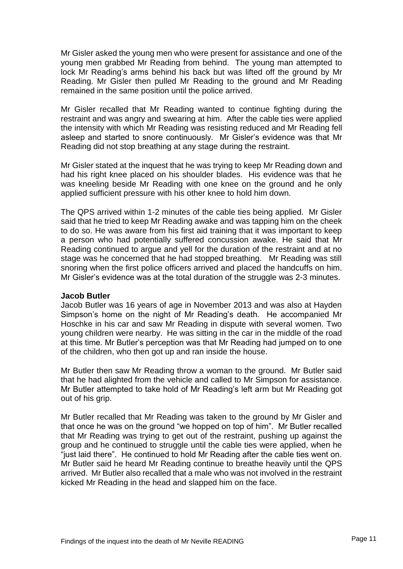Mr Gisler asked the young men who were present for assistance and one of the young men grabbed Mr Reading from behind. The young man attempted to lock Mr Reading's arms behind his back but was lifted off the ground by Mr Reading. Mr Gisler then pulled Mr Reading to the ground and Mr Reading remained in the same position until the police arrived.

Mr Gisler recalled that Mr Reading wanted to continue fighting during the restraint and was angry and swearing at him. After the cable ties were applied the intensity with which Mr Reading was resisting reduced and Mr Reading fell asleep and started to snore continuously. Mr Gisler's evidence was that Mr Reading did not stop breathing at any stage during the restraint.

Mr Gisler stated at the inquest that he was trying to keep Mr Reading down and had his right knee placed on his shoulder blades. His evidence was that he was kneeling beside Mr Reading with one knee on the ground and he only applied sufficient pressure with his other knee to hold him down.

The QPS arrived within 1-2 minutes of the cable ties being applied. Mr Gisler said that he tried to keep Mr Reading awake and was tapping him on the cheek to do so. He was aware from his first aid training that it was important to keep a person who had potentially suffered concussion awake. He said that Mr Reading continued to argue and yell for the duration of the restraint and at no stage was he concerned that he had stopped breathing. Mr Reading was still snoring when the first police officers arrived and placed the handcuffs on him. Mr Gisler's evidence was at the total duration of the struggle was 2-3 minutes.

#### **Jacob Butler**

Jacob Butler was 16 years of age in November 2013 and was also at Hayden Simpson's home on the night of Mr Reading's death. He accompanied Mr Hoschke in his car and saw Mr Reading in dispute with several women. Two young children were nearby. He was sitting in the car in the middle of the road at this time. Mr Butler's perception was that Mr Reading had jumped on to one of the children, who then got up and ran inside the house.

Mr Butler then saw Mr Reading throw a woman to the ground. Mr Butler said that he had alighted from the vehicle and called to Mr Simpson for assistance. Mr Butler attempted to take hold of Mr Reading's left arm but Mr Reading got out of his grip.

Mr Butler recalled that Mr Reading was taken to the ground by Mr Gisler and that once he was on the ground "we hopped on top of him". Mr Butler recalled that Mr Reading was trying to get out of the restraint, pushing up against the group and he continued to struggle until the cable ties were applied, when he "just laid there". He continued to hold Mr Reading after the cable ties went on. Mr Butler said he heard Mr Reading continue to breathe heavily until the QPS arrived. Mr Butler also recalled that a male who was not involved in the restraint kicked Mr Reading in the head and slapped him on the face.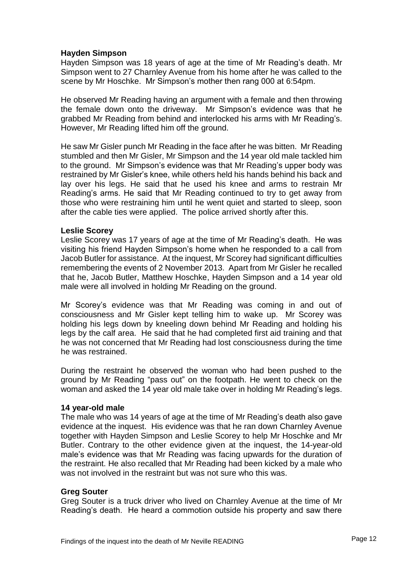#### **Hayden Simpson**

Hayden Simpson was 18 years of age at the time of Mr Reading's death. Mr Simpson went to 27 Charnley Avenue from his home after he was called to the scene by Mr Hoschke. Mr Simpson's mother then rang 000 at 6:54pm.

He observed Mr Reading having an argument with a female and then throwing the female down onto the driveway. Mr Simpson's evidence was that he grabbed Mr Reading from behind and interlocked his arms with Mr Reading's. However, Mr Reading lifted him off the ground.

He saw Mr Gisler punch Mr Reading in the face after he was bitten. Mr Reading stumbled and then Mr Gisler, Mr Simpson and the 14 year old male tackled him to the ground. Mr Simpson's evidence was that Mr Reading's upper body was restrained by Mr Gisler's knee, while others held his hands behind his back and lay over his legs. He said that he used his knee and arms to restrain Mr Reading's arms. He said that Mr Reading continued to try to get away from those who were restraining him until he went quiet and started to sleep, soon after the cable ties were applied. The police arrived shortly after this.

#### **Leslie Scorey**

Leslie Scorey was 17 years of age at the time of Mr Reading's death. He was visiting his friend Hayden Simpson's home when he responded to a call from Jacob Butler for assistance. At the inquest, Mr Scorey had significant difficulties remembering the events of 2 November 2013. Apart from Mr Gisler he recalled that he, Jacob Butler, Matthew Hoschke, Hayden Simpson and a 14 year old male were all involved in holding Mr Reading on the ground.

Mr Scorey's evidence was that Mr Reading was coming in and out of consciousness and Mr Gisler kept telling him to wake up. Mr Scorey was holding his legs down by kneeling down behind Mr Reading and holding his legs by the calf area. He said that he had completed first aid training and that he was not concerned that Mr Reading had lost consciousness during the time he was restrained.

During the restraint he observed the woman who had been pushed to the ground by Mr Reading "pass out" on the footpath. He went to check on the woman and asked the 14 year old male take over in holding Mr Reading's legs.

#### **14 year-old male**

The male who was 14 years of age at the time of Mr Reading's death also gave evidence at the inquest. His evidence was that he ran down Charnley Avenue together with Hayden Simpson and Leslie Scorey to help Mr Hoschke and Mr Butler. Contrary to the other evidence given at the inquest, the 14-year-old male's evidence was that Mr Reading was facing upwards for the duration of the restraint. He also recalled that Mr Reading had been kicked by a male who was not involved in the restraint but was not sure who this was.

#### **Greg Souter**

Greg Souter is a truck driver who lived on Charnley Avenue at the time of Mr Reading's death. He heard a commotion outside his property and saw there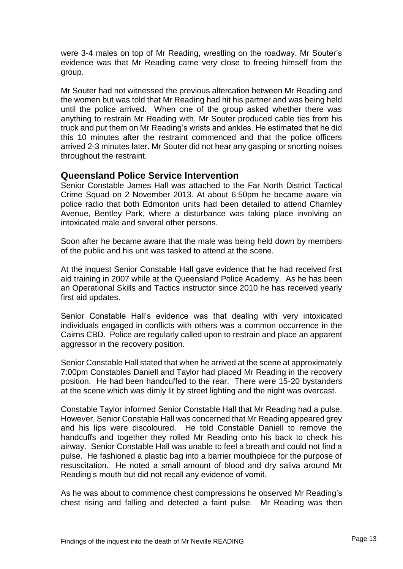were 3-4 males on top of Mr Reading, wrestling on the roadway. Mr Souter's evidence was that Mr Reading came very close to freeing himself from the group.

Mr Souter had not witnessed the previous altercation between Mr Reading and the women but was told that Mr Reading had hit his partner and was being held until the police arrived. When one of the group asked whether there was anything to restrain Mr Reading with, Mr Souter produced cable ties from his truck and put them on Mr Reading's wrists and ankles. He estimated that he did this 10 minutes after the restraint commenced and that the police officers arrived 2-3 minutes later. Mr Souter did not hear any gasping or snorting noises throughout the restraint.

## <span id="page-14-0"></span>**Queensland Police Service Intervention**

Senior Constable James Hall was attached to the Far North District Tactical Crime Squad on 2 November 2013. At about 6:50pm he became aware via police radio that both Edmonton units had been detailed to attend Charnley Avenue, Bentley Park, where a disturbance was taking place involving an intoxicated male and several other persons.

Soon after he became aware that the male was being held down by members of the public and his unit was tasked to attend at the scene.

At the inquest Senior Constable Hall gave evidence that he had received first aid training in 2007 while at the Queensland Police Academy. As he has been an Operational Skills and Tactics instructor since 2010 he has received yearly first aid updates.

Senior Constable Hall's evidence was that dealing with very intoxicated individuals engaged in conflicts with others was a common occurrence in the Cairns CBD. Police are regularly called upon to restrain and place an apparent aggressor in the recovery position.

Senior Constable Hall stated that when he arrived at the scene at approximately 7:00pm Constables Daniell and Taylor had placed Mr Reading in the recovery position. He had been handcuffed to the rear. There were 15-20 bystanders at the scene which was dimly lit by street lighting and the night was overcast.

Constable Taylor informed Senior Constable Hall that Mr Reading had a pulse. However, Senior Constable Hall was concerned that Mr Reading appeared grey and his lips were discoloured. He told Constable Daniell to remove the handcuffs and together they rolled Mr Reading onto his back to check his airway. Senior Constable Hall was unable to feel a breath and could not find a pulse. He fashioned a plastic bag into a barrier mouthpiece for the purpose of resuscitation. He noted a small amount of blood and dry saliva around Mr Reading's mouth but did not recall any evidence of vomit.

As he was about to commence chest compressions he observed Mr Reading's chest rising and falling and detected a faint pulse. Mr Reading was then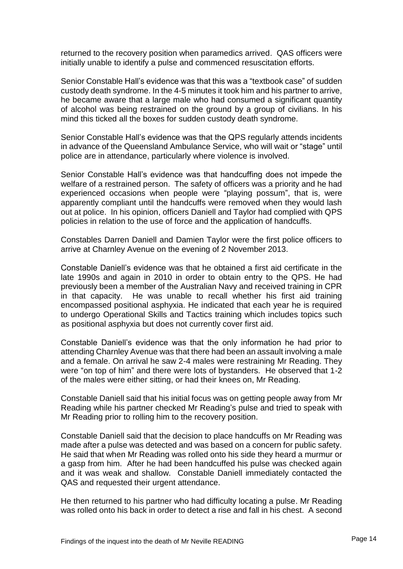returned to the recovery position when paramedics arrived. QAS officers were initially unable to identify a pulse and commenced resuscitation efforts.

Senior Constable Hall's evidence was that this was a "textbook case" of sudden custody death syndrome. In the 4-5 minutes it took him and his partner to arrive, he became aware that a large male who had consumed a significant quantity of alcohol was being restrained on the ground by a group of civilians. In his mind this ticked all the boxes for sudden custody death syndrome.

Senior Constable Hall's evidence was that the QPS regularly attends incidents in advance of the Queensland Ambulance Service, who will wait or "stage" until police are in attendance, particularly where violence is involved.

Senior Constable Hall's evidence was that handcuffing does not impede the welfare of a restrained person. The safety of officers was a priority and he had experienced occasions when people were "playing possum", that is, were apparently compliant until the handcuffs were removed when they would lash out at police. In his opinion, officers Daniell and Taylor had complied with QPS policies in relation to the use of force and the application of handcuffs.

Constables Darren Daniell and Damien Taylor were the first police officers to arrive at Charnley Avenue on the evening of 2 November 2013.

Constable Daniell's evidence was that he obtained a first aid certificate in the late 1990s and again in 2010 in order to obtain entry to the QPS. He had previously been a member of the Australian Navy and received training in CPR in that capacity. He was unable to recall whether his first aid training encompassed positional asphyxia. He indicated that each year he is required to undergo Operational Skills and Tactics training which includes topics such as positional asphyxia but does not currently cover first aid.

Constable Daniell's evidence was that the only information he had prior to attending Charnley Avenue was that there had been an assault involving a male and a female. On arrival he saw 2-4 males were restraining Mr Reading. They were "on top of him" and there were lots of bystanders. He observed that 1-2 of the males were either sitting, or had their knees on, Mr Reading.

Constable Daniell said that his initial focus was on getting people away from Mr Reading while his partner checked Mr Reading's pulse and tried to speak with Mr Reading prior to rolling him to the recovery position.

Constable Daniell said that the decision to place handcuffs on Mr Reading was made after a pulse was detected and was based on a concern for public safety. He said that when Mr Reading was rolled onto his side they heard a murmur or a gasp from him. After he had been handcuffed his pulse was checked again and it was weak and shallow. Constable Daniell immediately contacted the QAS and requested their urgent attendance.

He then returned to his partner who had difficulty locating a pulse. Mr Reading was rolled onto his back in order to detect a rise and fall in his chest. A second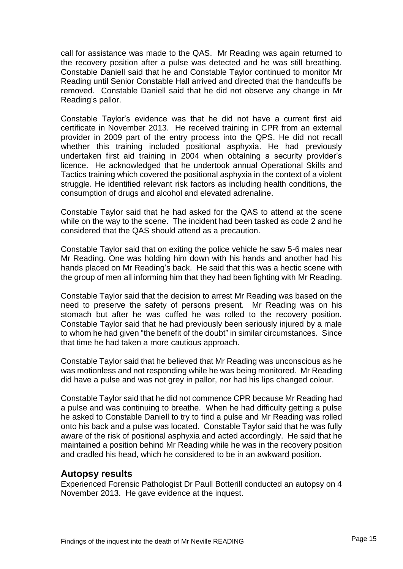call for assistance was made to the QAS. Mr Reading was again returned to the recovery position after a pulse was detected and he was still breathing. Constable Daniell said that he and Constable Taylor continued to monitor Mr Reading until Senior Constable Hall arrived and directed that the handcuffs be removed. Constable Daniell said that he did not observe any change in Mr Reading's pallor.

Constable Taylor's evidence was that he did not have a current first aid certificate in November 2013. He received training in CPR from an external provider in 2009 part of the entry process into the QPS. He did not recall whether this training included positional asphyxia. He had previously undertaken first aid training in 2004 when obtaining a security provider's licence. He acknowledged that he undertook annual Operational Skills and Tactics training which covered the positional asphyxia in the context of a violent struggle. He identified relevant risk factors as including health conditions, the consumption of drugs and alcohol and elevated adrenaline.

Constable Taylor said that he had asked for the QAS to attend at the scene while on the way to the scene. The incident had been tasked as code 2 and he considered that the QAS should attend as a precaution.

Constable Taylor said that on exiting the police vehicle he saw 5-6 males near Mr Reading. One was holding him down with his hands and another had his hands placed on Mr Reading's back. He said that this was a hectic scene with the group of men all informing him that they had been fighting with Mr Reading.

Constable Taylor said that the decision to arrest Mr Reading was based on the need to preserve the safety of persons present. Mr Reading was on his stomach but after he was cuffed he was rolled to the recovery position. Constable Taylor said that he had previously been seriously injured by a male to whom he had given "the benefit of the doubt" in similar circumstances. Since that time he had taken a more cautious approach.

Constable Taylor said that he believed that Mr Reading was unconscious as he was motionless and not responding while he was being monitored. Mr Reading did have a pulse and was not grey in pallor, nor had his lips changed colour.

Constable Taylor said that he did not commence CPR because Mr Reading had a pulse and was continuing to breathe. When he had difficulty getting a pulse he asked to Constable Daniell to try to find a pulse and Mr Reading was rolled onto his back and a pulse was located. Constable Taylor said that he was fully aware of the risk of positional asphyxia and acted accordingly. He said that he maintained a position behind Mr Reading while he was in the recovery position and cradled his head, which he considered to be in an awkward position.

#### <span id="page-16-0"></span>**Autopsy results**

Experienced Forensic Pathologist Dr Paull Botterill conducted an autopsy on 4 November 2013. He gave evidence at the inquest.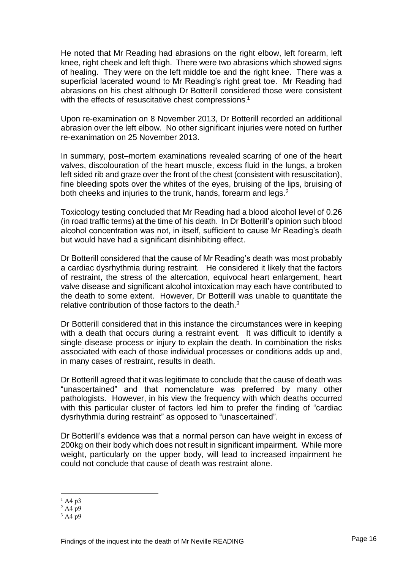He noted that Mr Reading had abrasions on the right elbow, left forearm, left knee, right cheek and left thigh. There were two abrasions which showed signs of healing. They were on the left middle toe and the right knee. There was a superficial lacerated wound to Mr Reading's right great toe. Mr Reading had abrasions on his chest although Dr Botterill considered those were consistent with the effects of resuscitative chest compressions.<sup>1</sup>

Upon re-examination on 8 November 2013, Dr Botterill recorded an additional abrasion over the left elbow. No other significant injuries were noted on further re-exanimation on 25 November 2013.

In summary, post–mortem examinations revealed scarring of one of the heart valves, discolouration of the heart muscle, excess fluid in the lungs, a broken left sided rib and graze over the front of the chest (consistent with resuscitation), fine bleeding spots over the whites of the eyes, bruising of the lips, bruising of both cheeks and injuries to the trunk, hands, forearm and legs.<sup>2</sup>

Toxicology testing concluded that Mr Reading had a blood alcohol level of 0.26 (in road traffic terms) at the time of his death. In Dr Botterill's opinion such blood alcohol concentration was not, in itself, sufficient to cause Mr Reading's death but would have had a significant disinhibiting effect.

Dr Botterill considered that the cause of Mr Reading's death was most probably a cardiac dysrhythmia during restraint. He considered it likely that the factors of restraint, the stress of the altercation, equivocal heart enlargement, heart valve disease and significant alcohol intoxication may each have contributed to the death to some extent. However, Dr Botterill was unable to quantitate the relative contribution of those factors to the death.<sup>3</sup>

Dr Botterill considered that in this instance the circumstances were in keeping with a death that occurs during a restraint event. It was difficult to identify a single disease process or injury to explain the death. In combination the risks associated with each of those individual processes or conditions adds up and, in many cases of restraint, results in death.

Dr Botterill agreed that it was legitimate to conclude that the cause of death was "unascertained" and that nomenclature was preferred by many other pathologists. However, in his view the frequency with which deaths occurred with this particular cluster of factors led him to prefer the finding of "cardiac dysrhythmia during restraint" as opposed to "unascertained".

Dr Botterill's evidence was that a normal person can have weight in excess of 200kg on their body which does not result in significant impairment. While more weight, particularly on the upper body, will lead to increased impairment he could not conclude that cause of death was restraint alone.

l

 $^{1}$  A4 p3

 $2$  A4 n9

 $3$  A4 p9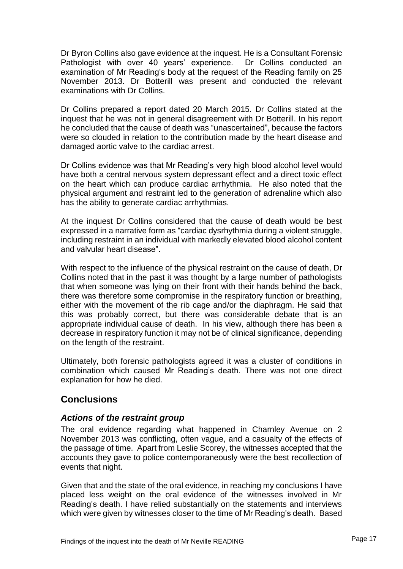Dr Byron Collins also gave evidence at the inquest. He is a Consultant Forensic Pathologist with over 40 years' experience. Dr Collins conducted an examination of Mr Reading's body at the request of the Reading family on 25 November 2013. Dr Botterill was present and conducted the relevant examinations with Dr Collins.

Dr Collins prepared a report dated 20 March 2015. Dr Collins stated at the inquest that he was not in general disagreement with Dr Botterill. In his report he concluded that the cause of death was "unascertained", because the factors were so clouded in relation to the contribution made by the heart disease and damaged aortic valve to the cardiac arrest.

Dr Collins evidence was that Mr Reading's very high blood alcohol level would have both a central nervous system depressant effect and a direct toxic effect on the heart which can produce cardiac arrhythmia. He also noted that the physical argument and restraint led to the generation of adrenaline which also has the ability to generate cardiac arrhythmias.

At the inquest Dr Collins considered that the cause of death would be best expressed in a narrative form as "cardiac dysrhythmia during a violent struggle, including restraint in an individual with markedly elevated blood alcohol content and valvular heart disease".

With respect to the influence of the physical restraint on the cause of death, Dr Collins noted that in the past it was thought by a large number of pathologists that when someone was lying on their front with their hands behind the back, there was therefore some compromise in the respiratory function or breathing, either with the movement of the rib cage and/or the diaphragm. He said that this was probably correct, but there was considerable debate that is an appropriate individual cause of death. In his view, although there has been a decrease in respiratory function it may not be of clinical significance, depending on the length of the restraint.

Ultimately, both forensic pathologists agreed it was a cluster of conditions in combination which caused Mr Reading's death. There was not one direct explanation for how he died.

## <span id="page-18-0"></span>**Conclusions**

## <span id="page-18-1"></span>*Actions of the restraint group*

The oral evidence regarding what happened in Charnley Avenue on 2 November 2013 was conflicting, often vague, and a casualty of the effects of the passage of time. Apart from Leslie Scorey, the witnesses accepted that the accounts they gave to police contemporaneously were the best recollection of events that night.

Given that and the state of the oral evidence, in reaching my conclusions I have placed less weight on the oral evidence of the witnesses involved in Mr Reading's death. I have relied substantially on the statements and interviews which were given by witnesses closer to the time of Mr Reading's death. Based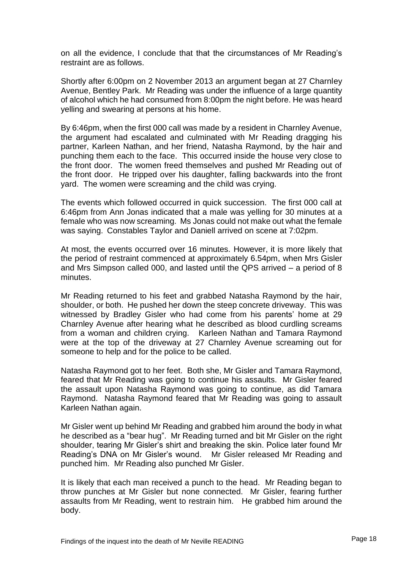on all the evidence, I conclude that that the circumstances of Mr Reading's restraint are as follows.

Shortly after 6:00pm on 2 November 2013 an argument began at 27 Charnley Avenue, Bentley Park. Mr Reading was under the influence of a large quantity of alcohol which he had consumed from 8:00pm the night before. He was heard yelling and swearing at persons at his home.

By 6:46pm, when the first 000 call was made by a resident in Charnley Avenue, the argument had escalated and culminated with Mr Reading dragging his partner, Karleen Nathan, and her friend, Natasha Raymond, by the hair and punching them each to the face. This occurred inside the house very close to the front door. The women freed themselves and pushed Mr Reading out of the front door. He tripped over his daughter, falling backwards into the front yard. The women were screaming and the child was crying.

The events which followed occurred in quick succession. The first 000 call at 6:46pm from Ann Jonas indicated that a male was yelling for 30 minutes at a female who was now screaming. Ms Jonas could not make out what the female was saying. Constables Taylor and Daniell arrived on scene at 7:02pm.

At most, the events occurred over 16 minutes. However, it is more likely that the period of restraint commenced at approximately 6.54pm, when Mrs Gisler and Mrs Simpson called 000, and lasted until the QPS arrived – a period of 8 minutes.

Mr Reading returned to his feet and grabbed Natasha Raymond by the hair, shoulder, or both. He pushed her down the steep concrete driveway. This was witnessed by Bradley Gisler who had come from his parents' home at 29 Charnley Avenue after hearing what he described as blood curdling screams from a woman and children crying. Karleen Nathan and Tamara Raymond were at the top of the driveway at 27 Charnley Avenue screaming out for someone to help and for the police to be called.

Natasha Raymond got to her feet. Both she, Mr Gisler and Tamara Raymond, feared that Mr Reading was going to continue his assaults. Mr Gisler feared the assault upon Natasha Raymond was going to continue, as did Tamara Raymond. Natasha Raymond feared that Mr Reading was going to assault Karleen Nathan again.

Mr Gisler went up behind Mr Reading and grabbed him around the body in what he described as a "bear hug". Mr Reading turned and bit Mr Gisler on the right shoulder, tearing Mr Gisler's shirt and breaking the skin. Police later found Mr Reading's DNA on Mr Gisler's wound. Mr Gisler released Mr Reading and punched him. Mr Reading also punched Mr Gisler.

It is likely that each man received a punch to the head. Mr Reading began to throw punches at Mr Gisler but none connected. Mr Gisler, fearing further assaults from Mr Reading, went to restrain him. He grabbed him around the body.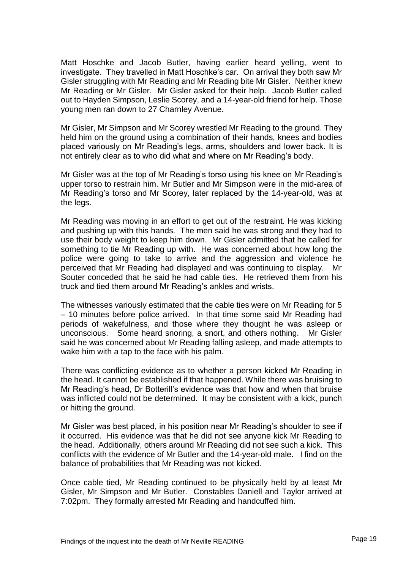Matt Hoschke and Jacob Butler, having earlier heard yelling, went to investigate. They travelled in Matt Hoschke's car. On arrival they both saw Mr Gisler struggling with Mr Reading and Mr Reading bite Mr Gisler. Neither knew Mr Reading or Mr Gisler. Mr Gisler asked for their help. Jacob Butler called out to Hayden Simpson, Leslie Scorey, and a 14-year-old friend for help. Those young men ran down to 27 Charnley Avenue.

Mr Gisler, Mr Simpson and Mr Scorey wrestled Mr Reading to the ground. They held him on the ground using a combination of their hands, knees and bodies placed variously on Mr Reading's legs, arms, shoulders and lower back. It is not entirely clear as to who did what and where on Mr Reading's body.

Mr Gisler was at the top of Mr Reading's torso using his knee on Mr Reading's upper torso to restrain him. Mr Butler and Mr Simpson were in the mid-area of Mr Reading's torso and Mr Scorey, later replaced by the 14-year-old, was at the legs.

Mr Reading was moving in an effort to get out of the restraint. He was kicking and pushing up with this hands. The men said he was strong and they had to use their body weight to keep him down. Mr Gisler admitted that he called for something to tie Mr Reading up with. He was concerned about how long the police were going to take to arrive and the aggression and violence he perceived that Mr Reading had displayed and was continuing to display. Mr Souter conceded that he said he had cable ties. He retrieved them from his truck and tied them around Mr Reading's ankles and wrists.

The witnesses variously estimated that the cable ties were on Mr Reading for 5 – 10 minutes before police arrived. In that time some said Mr Reading had periods of wakefulness, and those where they thought he was asleep or unconscious. Some heard snoring, a snort, and others nothing. Mr Gisler said he was concerned about Mr Reading falling asleep, and made attempts to wake him with a tap to the face with his palm.

There was conflicting evidence as to whether a person kicked Mr Reading in the head. It cannot be established if that happened. While there was bruising to Mr Reading's head, Dr Botterill's evidence was that how and when that bruise was inflicted could not be determined. It may be consistent with a kick, punch or hitting the ground.

Mr Gisler was best placed, in his position near Mr Reading's shoulder to see if it occurred. His evidence was that he did not see anyone kick Mr Reading to the head. Additionally, others around Mr Reading did not see such a kick. This conflicts with the evidence of Mr Butler and the 14-year-old male. I find on the balance of probabilities that Mr Reading was not kicked.

Once cable tied, Mr Reading continued to be physically held by at least Mr Gisler, Mr Simpson and Mr Butler. Constables Daniell and Taylor arrived at 7:02pm. They formally arrested Mr Reading and handcuffed him.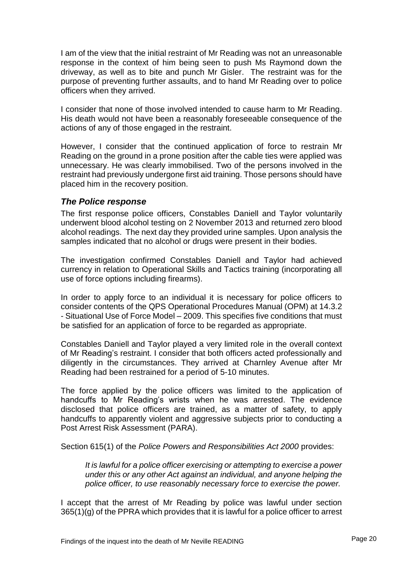I am of the view that the initial restraint of Mr Reading was not an unreasonable response in the context of him being seen to push Ms Raymond down the driveway, as well as to bite and punch Mr Gisler. The restraint was for the purpose of preventing further assaults, and to hand Mr Reading over to police officers when they arrived.

I consider that none of those involved intended to cause harm to Mr Reading. His death would not have been a reasonably foreseeable consequence of the actions of any of those engaged in the restraint.

However, I consider that the continued application of force to restrain Mr Reading on the ground in a prone position after the cable ties were applied was unnecessary. He was clearly immobilised. Two of the persons involved in the restraint had previously undergone first aid training. Those persons should have placed him in the recovery position.

## <span id="page-21-0"></span>*The Police response*

The first response police officers, Constables Daniell and Taylor voluntarily underwent blood alcohol testing on 2 November 2013 and returned zero blood alcohol readings. The next day they provided urine samples. Upon analysis the samples indicated that no alcohol or drugs were present in their bodies.

The investigation confirmed Constables Daniell and Taylor had achieved currency in relation to Operational Skills and Tactics training (incorporating all use of force options including firearms).

In order to apply force to an individual it is necessary for police officers to consider contents of the QPS Operational Procedures Manual (OPM) at 14.3.2 - Situational Use of Force Model – 2009. This specifies five conditions that must be satisfied for an application of force to be regarded as appropriate.

Constables Daniell and Taylor played a very limited role in the overall context of Mr Reading's restraint. I consider that both officers acted professionally and diligently in the circumstances. They arrived at Charnley Avenue after Mr Reading had been restrained for a period of 5-10 minutes.

The force applied by the police officers was limited to the application of handcuffs to Mr Reading's wrists when he was arrested. The evidence disclosed that police officers are trained, as a matter of safety, to apply handcuffs to apparently violent and aggressive subjects prior to conducting a Post Arrest Risk Assessment (PARA).

Section 615(1) of the *Police Powers and Responsibilities Act 2000* provides:

*It is lawful for a police officer exercising or attempting to exercise a power under this or any other Act against an individual, and anyone helping the police officer, to use reasonably necessary force to exercise the power.*

I accept that the arrest of Mr Reading by police was lawful under section 365(1)(g) of the PPRA which provides that it is lawful for a police officer to arrest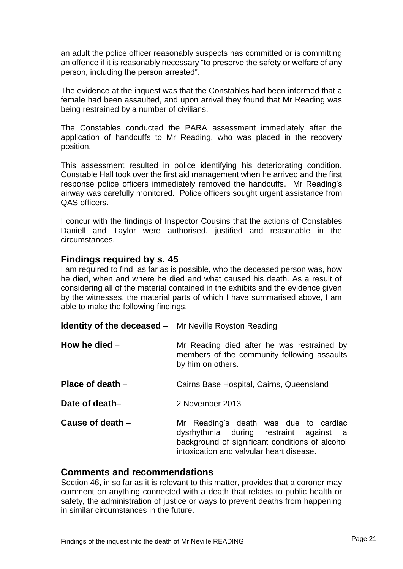an adult the police officer reasonably suspects has committed or is committing an offence if it is reasonably necessary "to preserve the safety or welfare of any person, including the person arrested".

The evidence at the inquest was that the Constables had been informed that a female had been assaulted, and upon arrival they found that Mr Reading was being restrained by a number of civilians.

The Constables conducted the PARA assessment immediately after the application of handcuffs to Mr Reading, who was placed in the recovery position.

This assessment resulted in police identifying his deteriorating condition. Constable Hall took over the first aid management when he arrived and the first response police officers immediately removed the handcuffs. Mr Reading's airway was carefully monitored. Police officers sought urgent assistance from QAS officers.

I concur with the findings of Inspector Cousins that the actions of Constables Daniell and Taylor were authorised, justified and reasonable in the circumstances.

## <span id="page-22-0"></span>**Findings required by s. 45**

I am required to find, as far as is possible, who the deceased person was, how he died, when and where he died and what caused his death. As a result of considering all of the material contained in the exhibits and the evidence given by the witnesses, the material parts of which I have summarised above, I am able to make the following findings.

<span id="page-22-3"></span><span id="page-22-2"></span><span id="page-22-1"></span>

| <b>Identity of the deceased</b> – Mr Neville Royston Reading |                                                                                                                                                                                |
|--------------------------------------------------------------|--------------------------------------------------------------------------------------------------------------------------------------------------------------------------------|
| How he died $-$                                              | Mr Reading died after he was restrained by<br>members of the community following assaults<br>by him on others.                                                                 |
| Place of death $-$                                           | Cairns Base Hospital, Cairns, Queensland                                                                                                                                       |
| Date of death-                                               | 2 November 2013                                                                                                                                                                |
| Cause of death -                                             | Mr Reading's death was due to cardiac<br>dysrhythmia during restraint against a<br>background of significant conditions of alcohol<br>intoxication and valvular heart disease. |

#### <span id="page-22-6"></span><span id="page-22-5"></span><span id="page-22-4"></span>**Comments and recommendations**

Section 46, in so far as it is relevant to this matter, provides that a coroner may comment on anything connected with a death that relates to public health or safety, the administration of justice or ways to prevent deaths from happening in similar circumstances in the future.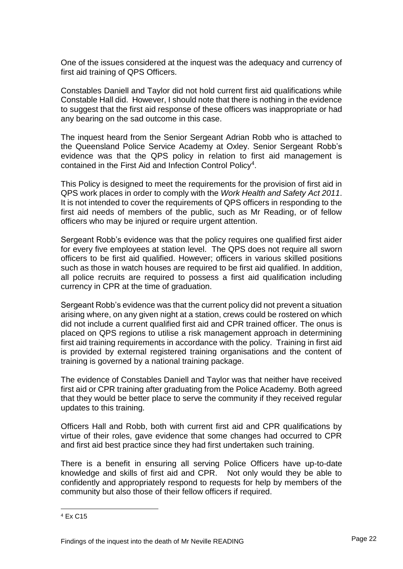One of the issues considered at the inquest was the adequacy and currency of first aid training of QPS Officers.

Constables Daniell and Taylor did not hold current first aid qualifications while Constable Hall did. However, I should note that there is nothing in the evidence to suggest that the first aid response of these officers was inappropriate or had any bearing on the sad outcome in this case.

The inquest heard from the Senior Sergeant Adrian Robb who is attached to the Queensland Police Service Academy at Oxley. Senior Sergeant Robb's evidence was that the QPS policy in relation to first aid management is contained in the First Aid and Infection Control Policy<sup>4</sup>.

This Policy is designed to meet the requirements for the provision of first aid in QPS work places in order to comply with the *Work Health and Safety Act 2011*. It is not intended to cover the requirements of QPS officers in responding to the first aid needs of members of the public, such as Mr Reading, or of fellow officers who may be injured or require urgent attention.

Sergeant Robb's evidence was that the policy requires one qualified first aider for every five employees at station level. The QPS does not require all sworn officers to be first aid qualified. However; officers in various skilled positions such as those in watch houses are required to be first aid qualified. In addition, all police recruits are required to possess a first aid qualification including currency in CPR at the time of graduation.

Sergeant Robb's evidence was that the current policy did not prevent a situation arising where, on any given night at a station, crews could be rostered on which did not include a current qualified first aid and CPR trained officer. The onus is placed on QPS regions to utilise a risk management approach in determining first aid training requirements in accordance with the policy. Training in first aid is provided by external registered training organisations and the content of training is governed by a national training package.

The evidence of Constables Daniell and Taylor was that neither have received first aid or CPR training after graduating from the Police Academy. Both agreed that they would be better place to serve the community if they received regular updates to this training.

Officers Hall and Robb, both with current first aid and CPR qualifications by virtue of their roles, gave evidence that some changes had occurred to CPR and first aid best practice since they had first undertaken such training.

There is a benefit in ensuring all serving Police Officers have up-to-date knowledge and skills of first aid and CPR. Not only would they be able to confidently and appropriately respond to requests for help by members of the community but also those of their fellow officers if required.

l

<sup>4</sup> Ex C15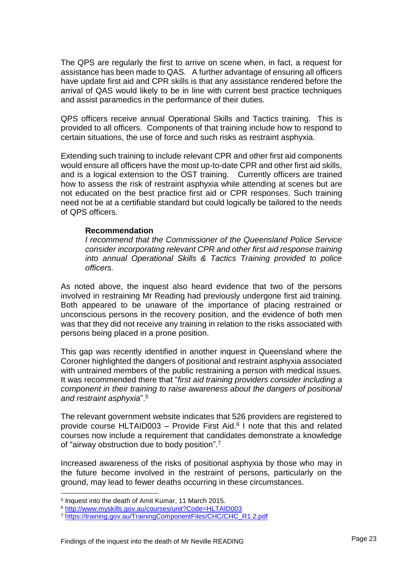The QPS are regularly the first to arrive on scene when, in fact, a request for assistance has been made to QAS. A further advantage of ensuring all officers have update first aid and CPR skills is that any assistance rendered before the arrival of QAS would likely to be in line with current best practice techniques and assist paramedics in the performance of their duties.

QPS officers receive annual Operational Skills and Tactics training. This is provided to all officers. Components of that training include how to respond to certain situations, the use of force and such risks as restraint asphyxia.

Extending such training to include relevant CPR and other first aid components would ensure all officers have the most up-to-date CPR and other first aid skills, and is a logical extension to the OST training. Currently officers are trained how to assess the risk of restraint asphyxia while attending at scenes but are not educated on the best practice first aid or CPR responses. Such training need not be at a certifiable standard but could logically be tailored to the needs of QPS officers.

#### **Recommendation**

*I recommend that the Commissioner of the Queensland Police Service consider incorporating relevant CPR and other first aid response training into annual Operational Skills & Tactics Training provided to police officers.*

As noted above, the inquest also heard evidence that two of the persons involved in restraining Mr Reading had previously undergone first aid training. Both appeared to be unaware of the importance of placing restrained or unconscious persons in the recovery position, and the evidence of both men was that they did not receive any training in relation to the risks associated with persons being placed in a prone position.

This gap was recently identified in another inquest in Queensland where the Coroner highlighted the dangers of positional and restraint asphyxia associated with untrained members of the public restraining a person with medical issues. It was recommended there that "*first aid training providers consider including a component in their training to raise awareness about the dangers of positional and restraint asphyxia*". 5

The relevant government website indicates that 526 providers are registered to provide course HLTAID003 – Provide First Aid. 6 I note that this and related courses now include a requirement that candidates demonstrate a knowledge of "airway obstruction due to body position".<sup>7</sup>

Increased awareness of the risks of positional asphyxia by those who may in the future become involved in the restraint of persons, particularly on the ground, may lead to fewer deaths occurring in these circumstances.

l

<sup>5</sup> Inquest into the death of Amit Kumar, 11 March 2015.

<sup>6</sup> <http://www.myskills.gov.au/courses/unit?Code=HLTAID003>

<sup>7</sup> [https://training.gov.au/TrainingComponentFiles/CHC/CHC\\_R1.2.pdf](https://training.gov.au/TrainingComponentFiles/CHC/CHC_R1.2.pdf)